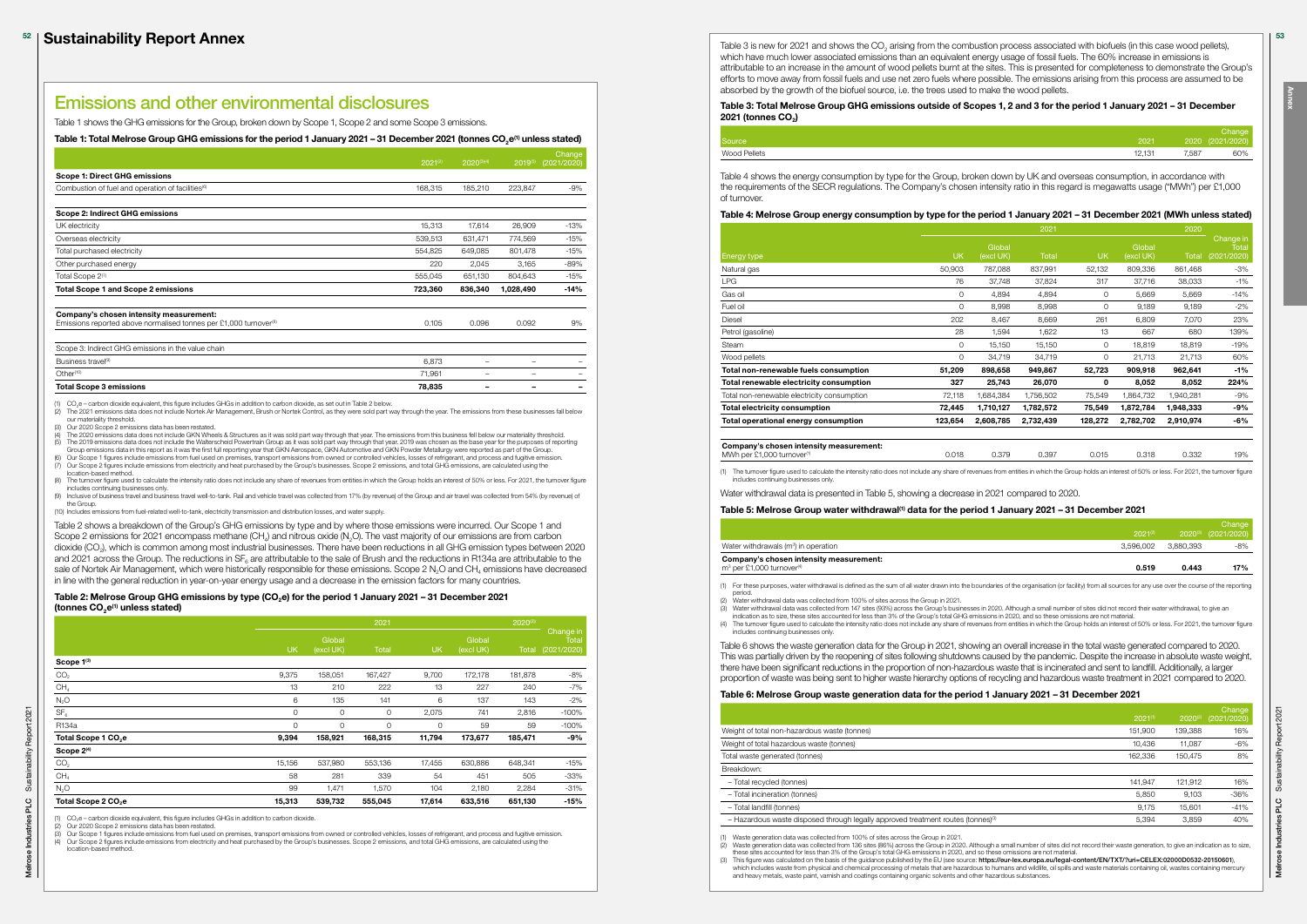Table 3 is new for 2021 and shows the CO<sub>2</sub> arising from the combustion process associated with biofuels (in this case wood pellets), which have much lower associated emissions than an equivalent energy usage of fossil fuels. The 60% increase in emissions is attributable to an increase in the amount of wood pellets burnt at the sites. This is presented for completeness to demonstrate the Group's efforts to move away from fossil fuels and use net zero fuels where possible. The emissions arising from this process are assumed to be absorbed by the growth of the biofuel source, i.e. the trees used to make the wood pellets.

### Table 3: Total Melrose Group GHG emissions outside of Scopes 1, 2 and 3 for the period 1 January 2021 – 31 December 2021 (tonnes CO<sub>2</sub>)

| Source       | 2021   | 2020  |
|--------------|--------|-------|
| Wood Pellets | 12.131 | 7,587 |
|              |        |       |

| Source       | 2021   |       | Change'<br>2020 (2021/2020) |
|--------------|--------|-------|-----------------------------|
| Wood Pellets | 12,131 | 7,587 | 60%                         |

MWh per £1,000 turnover<sup>(1)</sup> 0.018 0.018 0.379 0.397 0.015 0.318 0.332 19%

Table 4 shows the energy consumption by type for the Group, broken down by UK and overseas consumption, in accordance with the requirements of the SECR regulations. The Company's chosen intensity ratio in this regard is megawatts usage ("MWh") per £1,000 of turnover.

### Table 4: Melrose Group energy consumption by type for the period 1 January 2021 – 31 December 2021 (MWh unless stated)

|                                             |           |                     | 2021         |           |                     | 2020         |                                   |
|---------------------------------------------|-----------|---------------------|--------------|-----------|---------------------|--------------|-----------------------------------|
| Energy type                                 | <b>UK</b> | Global<br>(excl UK) | <b>Total</b> | <b>UK</b> | Global<br>(excl UK) | <b>Total</b> | Change in<br>Total<br>(2021/2020) |
| Natural gas                                 | 50,903    | 787,088             | 837,991      | 52,132    | 809,336             | 861,468      | -3%                               |
| LPG                                         | 76        | 37,748              | 37,824       | 317       | 37,716              | 38,033       | $-1\%$                            |
| Gas oil                                     | 0         | 4,894               | 4,894        | 0         | 5,669               | 5,669        | $-14%$                            |
| Fuel oil                                    | 0         | 8,998               | 8,998        | 0         | 9,189               | 9,189        | $-2%$                             |
| Diesel                                      | 202       | 8,467               | 8,669        | 261       | 6,809               | 7,070        | 23%                               |
| Petrol (gasoline)                           | 28        | 1,594               | 1,622        | 13        | 667                 | 680          | 139%                              |
| <b>Steam</b>                                | 0         | 15,150              | 15,150       | 0         | 18,819              | 18,819       | $-19%$                            |
| Wood pellets                                | 0         | 34,719              | 34,719       | 0         | 21,713              | 21,713       | 60%                               |
| Total non-renewable fuels consumption       | 51,209    | 898,658             | 949,867      | 52,723    | 909,918             | 962,641      | -1%                               |
| Total renewable electricity consumption     | 327       | 25,743              | 26,070       | 0         | 8,052               | 8,052        | 224%                              |
| Total non-renewable electricity consumption | 72,118    | 1,684,384           | 1,756,502    | 75,549    | 1,864,732           | 1,940,281    | -9%                               |
| <b>Total electricity consumption</b>        | 72,445    | 1,710,127           | 1,782,572    | 75,549    | 1,872,784           | 1,948,333    | -9%                               |
| Total operational energy consumption        | 123,654   | 2,608,785           | 2,732,439    | 128,272   | 2,782,702           | 2,910,974    | -6%                               |
|                                             |           |                     |              |           |                     |              |                                   |
| Company's obecan intensity measurements     |           |                     |              |           |                     |              |                                   |

#### Company's chosen intensity measurement:

(1) The turnover figure used to calculate the intensity ratio does not include any share of revenues from entities in which the Group holds an interest of 50% or less. For 2021, the turnover figure includes continuing businesses only.

Water withdrawal data is presented in Table 5, showing a decrease in 2021 compared to 2020.

## Table 5: Melrose Group water withdrawal<sup>(1)</sup> data for the period 1 January 2021 - 31 December 2021

(1) Waste generation data was collected from 100% of sites across the Group in 2021.<br>(2) Waste generation data was collected from 136 sites (86%) across the Group in 2020. Although a small number of sites did not record th these sites accounted for less than 3% of the Group's total GHG emissions in 2020, and so these omissions are not material.

|                                                   |              |                     | Change                     |
|---------------------------------------------------|--------------|---------------------|----------------------------|
|                                                   | $2021^{(2)}$ |                     | $2020^{\circ}$ (2021/2020) |
| Water withdrawals (m <sup>3</sup> ) in operation  |              | 3.596.002 3.880.393 | -8%                        |
| Company's chosen intensity measurement:           |              |                     |                            |
| m <sup>3</sup> per £1,000 turnover <sup>(4)</sup> | 0.519        | 0.443               | 17%                        |
|                                                   |              |                     |                            |

(3) Water withdrawal data was collected from 147 sites (93%) across the Group's businesses in 2020. Although a small number of sites did not record their water withdrawal, to give an<br>indication as to size, these sites acco

# Company's chosen intensity measurement:

(3) This figure was calculated on the basis of the guidance published by the EU (see source: https://eur-lex.europa.eu/legal-content/EN/TXT/?uri=CELEX:02000D6532-20150601). which includes waste from physical and chemical processing of metals that are hazardous to humans and wildlife, oil spills and waste materials containing oil, wastes containing mercury and heavy metals, waste paint, varnish and coatings containing organic solvents and other hazardous substances.

(1) For these purposes, water withdrawal is defined as the sum of all water drawn into the boundaries of the organisation (or facility) from all sources for any use over the course of the reporting

- period. (2) Water withdrawal data was collected from 100% of sites across the Group in 2021.
- 
- (4) The turnover figure used to calculate the intensity ratio does not include any share of revenues from entities in which the Group holds an interest of 50% or less. For 2021, the turnover figure includes continuing businesses only.

The 2021 emissions data does not include Nortek Air Management, Brush or Nortek Control, as they were sold part way through the year. The emissions from these businesses fall below our materiality threshold.

(3) Our 2020 Scope 2 emissions data has been restated.<br>(4) The 2020 emissions data does not include GKN Wheels & Structures as it was sold part way through that year. The emissions from this business fell below our mat Group emissions data does not include the Waterscheid Powertrain Group as it was sold part way through that year. 2019 was chosen as the base year for the purposes of networks and gard to the purposes of networks of the Gr

> Table 6 shows the waste generation data for the Group in 2021, showing an overall increase in the total waste generated compared to 2020. This was partially driven by the reopening of sites following shutdowns caused by the pandemic. Despite the increase in absolute waste weight, there have been significant reductions in the proportion of non-hazardous waste that is incinerated and sent to landfill. Additionally, a larger proportion of waste was being sent to higher waste hierarchy options of recycling and hazardous waste treatment in 2021 compared to 2020.

(6) Our Scope 1 figures include emissions from fuel used on premises, transport emissions from owned or controlled vehicles, losses of refrigerant, and process and fugitive emission.<br>(7) Our Scope 2 figures include emissio location-based method.

(8) The turnover figure used to calculate the intensity ratio does not include any share of revenues from entities in which the Group holds an interest of 50% or less. For 2021, the turnover figure includes continuing businesses only.<br>(9) Inclusive of business travel and business travel well-to-tank. Rail and vehicle travel was collected from 17% (by revenue) of the Group and air travel was collected from 54% (by rev

### Table 6: Melrose Group waste generation data for the period 1 January 2021 – 31 December 2021

|                                                                                              | $2021^{(1)}$ | $2020^{(2)}$ | Change<br>(2021/2020) |
|----------------------------------------------------------------------------------------------|--------------|--------------|-----------------------|
| Weight of total non-hazardous waste (tonnes)                                                 | 151.900      | 139,388      | 16%                   |
| Weight of total hazardous waste (tonnes)                                                     | 10.436       | 11.087       | -6%                   |
| Total waste generated (tonnes)                                                               | 162,336      | 150.475      | 8%                    |
| Breakdown:                                                                                   |              |              |                       |
| - Total recvcled (tonnes)                                                                    | 141.947      | 121.912      | 16%                   |
| - Total incineration (tonnes)                                                                | 5,850        | 9,103        | $-36%$                |
| - Total landfill (tonnes)                                                                    | 9.175        | 15.601       | $-41%$                |
| - Hazardous waste disposed through legally approved treatment routes (tonnes) <sup>(3)</sup> | 5,394        | 3,859        | 40%                   |
| Waste generation data was collected from 100% of sites across the Group in 2021.<br>(1)      |              |              |                       |

Our Scope 1 figures include emissions from fuel used on premises, transport emissions from owned or controlled vehicles, losses of refrigerant, and process and fugitive emission (4) Our Scope 2 figures include emissions from electricity and heat purchased by the Group's businesses. Scope 2 emissions, and total GHG emissions, are calculated using the location-based method.

# Emissions and other environmental disclosures

Table 1 shows the GHG emissions for the Group, broken down by Scope 1, Scope 2 and some Scope 3 emissions.

Table 1: Total Melrose Group GHG emissions for the period 1 January 2021 – 31 December 2021 (tonnes CO<sub>2</sub>e<sup>(1)</sup> unless stated)

|                                                                             | $2021^{(2)}$ | $2020^{(3)(4)}$ | $2019^{(5)}$ | Change<br>(2021/2020) |
|-----------------------------------------------------------------------------|--------------|-----------------|--------------|-----------------------|
| <b>Scope 1: Direct GHG emissions</b>                                        |              |                 |              |                       |
| Combustion of fuel and operation of facilities <sup>(6)</sup>               | 168,315      | 185,210         | 223,847      | $-9%$                 |
| Scope 2: Indirect GHG emissions                                             |              |                 |              |                       |
| UK electricity                                                              | 15,313       | 17,614          | 26,909       | $-13%$                |
| Overseas electricity                                                        | 539,513      | 631,471         | 774,569      | $-15%$                |
| Total purchased electricity                                                 | 554,825      | 649,085         | 801,478      | $-15%$                |
| Other purchased energy                                                      | 220          | 2,045           | 3,165        | $-89%$                |
| Total Scope 2(7)                                                            | 555,045      | 651,130         | 804,643      | $-15%$                |
| <b>Total Scope 1 and Scope 2 emissions</b>                                  | 723,360      | 836,340         | 1,028,490    | $-14%$                |
| Company's chosen intensity measurement:                                     |              |                 |              |                       |
| Emissions reported above normalised tonnes per £1,000 turnover <sup>®</sup> | 0.105        | 0.096           | 0.092        | 9%                    |
| Scope 3: Indirect GHG emissions in the value chain                          |              |                 |              |                       |
| Business travel <sup>(9)</sup>                                              | 6,873        | -               | -            |                       |
| Other <sup>(10)</sup>                                                       | 71,961       |                 |              |                       |
| <b>Total Scope 3 emissions</b>                                              | 78,835       |                 |              |                       |

(1)  $CO_2e$  – carbon dioxide equivalent, this figure includes GHGs in addition to carbon dioxide, as set out in Table 2 below.<br>(2) The 2021 emissions data does not include Nortek Air Management, Brush or Nortek Control, as

the Group.

(10) Includes emissions from fuel-related well-to-tank, electricity transmission and distribution losses, and water supply.

Table 2 shows a breakdown of the Group's GHG emissions by type and by where those emissions were incurred. Our Scope 1 and Scope 2 emissions for 2021 encompass methane (CH<sub>a</sub>) and nitrous oxide (N<sub>2</sub>O). The vast majority of our emissions are from carbon dioxide (CO<sub>2</sub>), which is common among most industrial businesses. There have been reductions in all GHG emission types between 2020 and 2021 across the Group. The reductions in  $SF<sub>6</sub>$  are attributable to the sale of Brush and the reductions in R134a are attributable to the sale of Nortek Air Management, which were historically responsible for these emissions. Scope 2 N<sub>2</sub>O and CH<sub>4</sub> emissions have decreased in line with the general reduction in year-on-year energy usage and a decrease in the emission factors for many countries.

### Table 2: Melrose Group GHG emissions by type (CO<sub>2</sub>e) for the period 1 January 2021 - 31 December 2021 (tonnes  $CO<sub>e</sub>(1)$  unless stated)

|                                 |           |                     | 2021     |           |                     | $2020^{(2)}$ |                                   |
|---------------------------------|-----------|---------------------|----------|-----------|---------------------|--------------|-----------------------------------|
|                                 | <b>UK</b> | Global<br>(excl UK) | Total    | <b>UK</b> | Global<br>(excl UK) | Total        | Change in<br>Total<br>(2021/2020) |
| Scope 1(3)                      |           |                     |          |           |                     |              |                                   |
| CO <sub>2</sub>                 | 9,375     | 158,051             | 167,427  | 9,700     | 172,178             | 181,878      | $-8%$                             |
| CH <sub>4</sub>                 | 13        | 210                 | 222      | 13        | 227                 | 240          | $-7%$                             |
| $N_2O$                          | 6         | 135                 | 141      | 6         | 137                 | 143          | $-2%$                             |
| SF <sub>6</sub>                 | $\circ$   | $\circ$             | $\circ$  | 2,075     | 741                 | 2,816        | $-100%$                           |
| R134a                           | $\circ$   | $\circ$             | $\Omega$ | 0         | 59                  | 59           | $-100%$                           |
| Total Scope 1 CO <sub>2</sub> e | 9,394     | 158,921             | 168,315  | 11,794    | 173,677             | 185,471      | -9%                               |
| Scope 2 <sup>(4)</sup>          |           |                     |          |           |                     |              |                                   |
| CO <sub>2</sub>                 | 15,156    | 537,980             | 553,136  | 17,455    | 630,886             | 648,341      | $-15%$                            |
| CH <sub>4</sub>                 | 58        | 281                 | 339      | 54        | 451                 | 505          | $-33%$                            |
| N <sub>2</sub> O                | 99        | 1,471               | 1,570    | 104       | 2,180               | 2,284        | $-31%$                            |
| Total Scope 2 CO <sub>2</sub> e | 15,313    | 539,732             | 555,045  | 17,614    | 633,516             | 651,130      | $-15%$                            |

CO<sub>2</sub>e – carbon dioxide equivalent, this figure includes GHGs in addition to carbon dioxide.

(2) Our 2020 Scope 2 emissions data has been restated.

53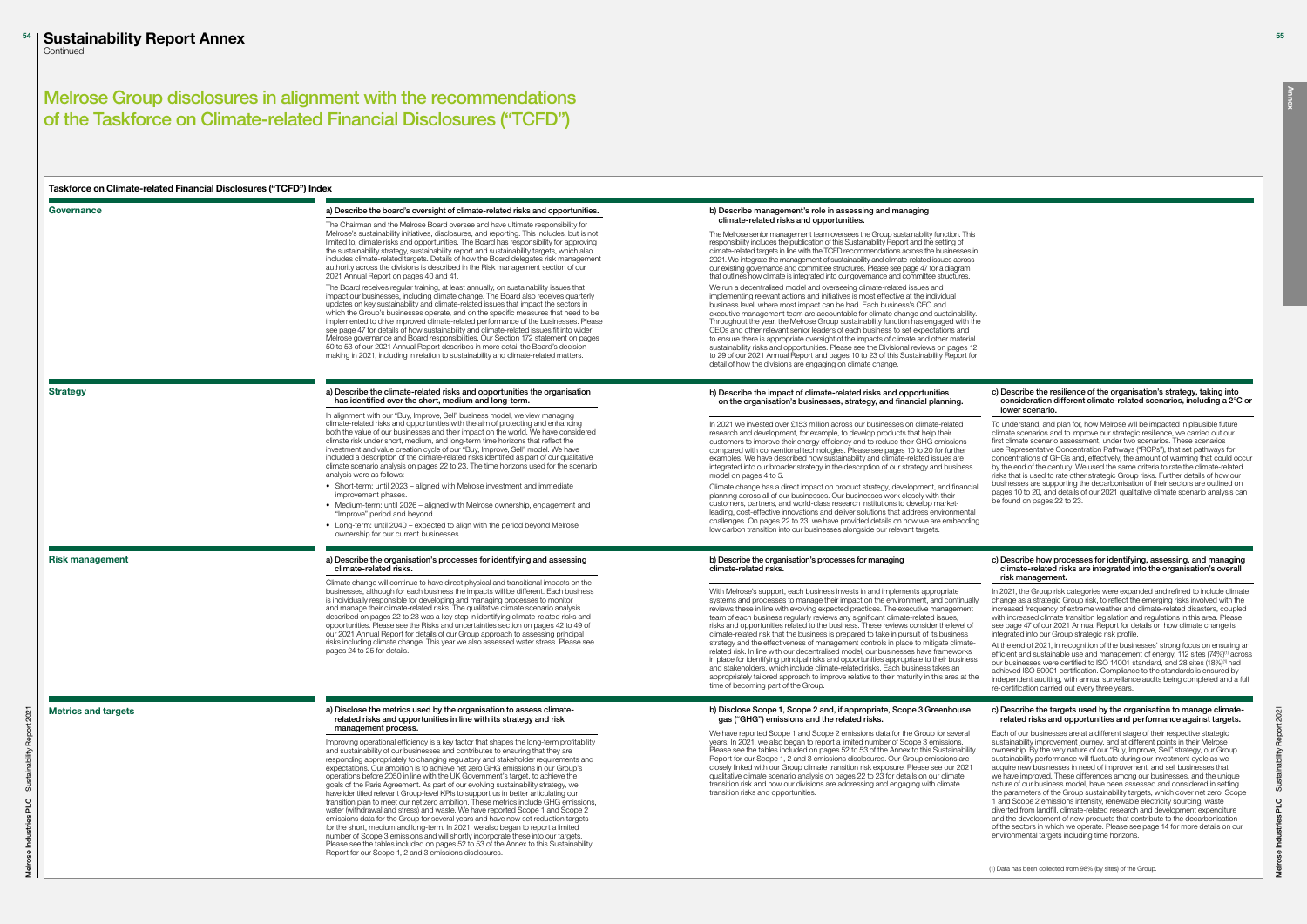#### c) Describe the resilience of the organisation's strategy, taking into consideration different climate-related scenarios, including a 2°C or lower scenario.

To understand, and plan for, how Melrose will be impacted in plausible future climate scenarios and to improve our strategic resilience, we carried out our first climate scenario assessment, under two scenarios. These scenarios use Representative Concentration Pathways ("RCPs"), that set pathways for concentrations of GHGs and, effectively, the amount of warming that could occur by the end of the century. We used the same criteria to rate the climate-related risks that is used to rate other strategic Group risks. Further details of how our businesses are supporting the decarbonisation of their sectors are outlined on pages 10 to 20, and details of our 2021 qualitative climate scenario analysis can be found on pages 22 to 23.

#### c) Describe how processes for identifying, assessing, and managing climate-related risks are integrated into the organisation's overall risk management.

In 2021, the Group risk categories were expanded and refined to include climate change as a strategic Group risk, to reflect the emerging risks involved with the increased frequency of extreme weather and climate-related disasters, coupled with increased climate transition legislation and regulations in this area. Please see page 47 of our 2021 Annual Report for details on how climate change is integrated into our Group strategic risk profile.

At the end of 2021, in recognition of the businesses' strong focus on ensuring an efficient and sustainable use and management of energy, 112 sites (74%)<sup>(1)</sup> across<br>our businesses were certified to ISO 14001 standard, and 28 sites (18%)<sup>(1)</sup> had achieved ISO 50001 certification. Compliance to the standards is ensured by independent auditing, with annual surveillance audits being completed and a full re-certification carried out every three years.

| Taskforce on Climate-related Financial Disclosures ("TCFD") Index |                                                                                                                                                                                                                                                                                                                                                                                                                                                                                                                                                                                                                                                                                                                                                                                                                                                                                                                                                                                                                                                                                                                                                                                                                            |                                                                                                                                                                                                                                                                                                                                                                                                                                                                                                                                                                                                                                                                                                                                                                                                                                                                                                                                                                                                                       |
|-------------------------------------------------------------------|----------------------------------------------------------------------------------------------------------------------------------------------------------------------------------------------------------------------------------------------------------------------------------------------------------------------------------------------------------------------------------------------------------------------------------------------------------------------------------------------------------------------------------------------------------------------------------------------------------------------------------------------------------------------------------------------------------------------------------------------------------------------------------------------------------------------------------------------------------------------------------------------------------------------------------------------------------------------------------------------------------------------------------------------------------------------------------------------------------------------------------------------------------------------------------------------------------------------------|-----------------------------------------------------------------------------------------------------------------------------------------------------------------------------------------------------------------------------------------------------------------------------------------------------------------------------------------------------------------------------------------------------------------------------------------------------------------------------------------------------------------------------------------------------------------------------------------------------------------------------------------------------------------------------------------------------------------------------------------------------------------------------------------------------------------------------------------------------------------------------------------------------------------------------------------------------------------------------------------------------------------------|
| Governance                                                        | a) Describe the board's oversight of climate-related risks and opportunities.                                                                                                                                                                                                                                                                                                                                                                                                                                                                                                                                                                                                                                                                                                                                                                                                                                                                                                                                                                                                                                                                                                                                              | b) Describe management's role in assessing and managing                                                                                                                                                                                                                                                                                                                                                                                                                                                                                                                                                                                                                                                                                                                                                                                                                                                                                                                                                               |
|                                                                   | The Chairman and the Melrose Board oversee and have ultimate responsibility for<br>Melrose's sustainability initiatives, disclosures, and reporting. This includes, but is not<br>limited to, climate risks and opportunities. The Board has responsibility for approving<br>the sustainability strategy, sustainability report and sustainability targets, which also<br>includes climate-related targets. Details of how the Board delegates risk management<br>authority across the divisions is described in the Risk management section of our<br>2021 Annual Report on pages 40 and 41.                                                                                                                                                                                                                                                                                                                                                                                                                                                                                                                                                                                                                              | climate-related risks and opportunities.<br>The Melrose senior management team oversees the Group sustainability function. This<br>responsibility includes the publication of this Sustainability Report and the setting of<br>climate-related targets in line with the TCFD recommendations across the businesses in<br>2021. We integrate the management of sustainability and climate-related issues across<br>our existing governance and committee structures. Please see page 47 for a diagram<br>that outlines how climate is integrated into our governance and committee structures.                                                                                                                                                                                                                                                                                                                                                                                                                         |
|                                                                   | The Board receives regular training, at least annually, on sustainability issues that<br>impact our businesses, including climate change. The Board also receives quarterly<br>updates on key sustainability and climate-related issues that impact the sectors in<br>which the Group's businesses operate, and on the specific measures that need to be<br>implemented to drive improved climate-related performance of the businesses. Please<br>see page 47 for details of how sustainability and climate-related issues fit into wider<br>Melrose governance and Board responsibilities. Our Section 172 statement on pages<br>50 to 53 of our 2021 Annual Report describes in more detail the Board's decision-<br>making in 2021, including in relation to sustainability and climate-related matters.                                                                                                                                                                                                                                                                                                                                                                                                               | We run a decentralised model and overseeing climate-related issues and<br>implementing relevant actions and initiatives is most effective at the individual<br>business level, where most impact can be had. Each business's CEO and<br>executive management team are accountable for climate change and sustainability.<br>Throughout the year, the Melrose Group sustainability function has engaged with the<br>CEOs and other relevant senior leaders of each business to set expectations and<br>to ensure there is appropriate oversight of the impacts of climate and other material<br>sustainability risks and opportunities. Please see the Divisional reviews on pages 12<br>to 29 of our 2021 Annual Report and pages 10 to 23 of this Sustainability Report for<br>detail of how the divisions are engaging on climate change.                                                                                                                                                                           |
| <b>Strategy</b>                                                   | a) Describe the climate-related risks and opportunities the organisation<br>has identified over the short, medium and long-term.                                                                                                                                                                                                                                                                                                                                                                                                                                                                                                                                                                                                                                                                                                                                                                                                                                                                                                                                                                                                                                                                                           | b) Describe the impact of climate-related risks and opportunities<br>on the organisation's businesses, strategy, and financial planning.                                                                                                                                                                                                                                                                                                                                                                                                                                                                                                                                                                                                                                                                                                                                                                                                                                                                              |
|                                                                   | In alignment with our "Buy, Improve, Sell" business model, we view managing<br>climate-related risks and opportunities with the aim of protecting and enhancing<br>both the value of our businesses and their impact on the world. We have considered<br>climate risk under short, medium, and long-term time horizons that reflect the<br>investment and value creation cycle of our "Buy, Improve, Sell" model. We have<br>included a description of the climate-related risks identified as part of our qualitative<br>climate scenario analysis on pages 22 to 23. The time horizons used for the scenario<br>analysis were as follows:                                                                                                                                                                                                                                                                                                                                                                                                                                                                                                                                                                                | In 2021 we invested over £153 million across our businesses on climate-related<br>research and development, for example, to develop products that help their<br>customers to improve their energy efficiency and to reduce their GHG emissions<br>compared with conventional technologies. Please see pages 10 to 20 for further<br>examples. We have described how sustainability and climate-related issues are<br>integrated into our broader strategy in the description of our strategy and business<br>model on pages 4 to 5.                                                                                                                                                                                                                                                                                                                                                                                                                                                                                   |
|                                                                   | • Short-term: until 2023 – aligned with Melrose investment and immediate<br>improvement phases.<br>• Medium-term: until 2026 – aligned with Melrose ownership, engagement and<br>"Improve" period and beyond.<br>• Long-term: until 2040 – expected to align with the period beyond Melrose<br>ownership for our current businesses.                                                                                                                                                                                                                                                                                                                                                                                                                                                                                                                                                                                                                                                                                                                                                                                                                                                                                       | Climate change has a direct impact on product strategy, development, and financial<br>planning across all of our businesses. Our businesses work closely with their<br>customers, partners, and world-class research institutions to develop market-<br>leading, cost-effective innovations and deliver solutions that address environmental<br>challenges. On pages 22 to 23, we have provided details on how we are embedding<br>low carbon transition into our businesses alongside our relevant targets.                                                                                                                                                                                                                                                                                                                                                                                                                                                                                                          |
| <b>Risk management</b>                                            | a) Describe the organisation's processes for identifying and assessing<br>climate-related risks.                                                                                                                                                                                                                                                                                                                                                                                                                                                                                                                                                                                                                                                                                                                                                                                                                                                                                                                                                                                                                                                                                                                           | b) Describe the organisation's processes for managing<br>climate-related risks.                                                                                                                                                                                                                                                                                                                                                                                                                                                                                                                                                                                                                                                                                                                                                                                                                                                                                                                                       |
|                                                                   | Climate change will continue to have direct physical and transitional impacts on the<br>businesses, although for each business the impacts will be different. Each business<br>is individually responsible for developing and managing processes to monitor<br>and manage their climate-related risks. The qualitative climate scenario analysis<br>described on pages 22 to 23 was a key step in identifying climate-related risks and<br>opportunities. Please see the Risks and uncertainties section on pages 42 to 49 of<br>our 2021 Annual Report for details of our Group approach to assessing principal<br>risks including climate change. This year we also assessed water stress. Please see<br>pages 24 to 25 for details.                                                                                                                                                                                                                                                                                                                                                                                                                                                                                     | With Melrose's support, each business invests in and implements appropriate<br>systems and processes to manage their impact on the environment, and continually<br>reviews these in line with evolving expected practices. The executive management<br>team of each business regularly reviews any significant climate-related issues,<br>risks and opportunities related to the business. These reviews consider the level of<br>climate-related risk that the business is prepared to take in pursuit of its business<br>strategy and the effectiveness of management controls in place to mitigate climate-<br>related risk. In line with our decentralised model, our businesses have frameworks<br>in place for identifying principal risks and opportunities appropriate to their business<br>and stakeholders, which include climate-related risks. Each business takes an<br>appropriately tailored approach to improve relative to their maturity in this area at the<br>time of becoming part of the Group. |
| <b>Metrics and targets</b>                                        | a) Disclose the metrics used by the organisation to assess climate-<br>related risks and opportunities in line with its strategy and risk                                                                                                                                                                                                                                                                                                                                                                                                                                                                                                                                                                                                                                                                                                                                                                                                                                                                                                                                                                                                                                                                                  | b) Disclose Scope 1, Scope 2 and, if appropriate, Scope 3 Greenhouse<br>gas ("GHG") emissions and the related risks.                                                                                                                                                                                                                                                                                                                                                                                                                                                                                                                                                                                                                                                                                                                                                                                                                                                                                                  |
|                                                                   | management process.<br>Improving operational efficiency is a key factor that shapes the long-term profitability<br>and sustainability of our businesses and contributes to ensuring that they are<br>responding appropriately to changing regulatory and stakeholder requirements and<br>expectations. Our ambition is to achieve net zero GHG emissions in our Group's<br>operations before 2050 in line with the UK Government's target, to achieve the<br>goals of the Paris Agreement. As part of our evolving sustainability strategy, we<br>have identified relevant Group-level KPIs to support us in better articulating our<br>transition plan to meet our net zero ambition. These metrics include GHG emissions,<br>water (withdrawal and stress) and waste. We have reported Scope 1 and Scope 2<br>emissions data for the Group for several years and have now set reduction targets<br>for the short, medium and long-term. In 2021, we also began to report a limited<br>number of Scope 3 emissions and will shortly incorporate these into our targets.<br>Please see the tables included on pages 52 to 53 of the Annex to this Sustainability<br>Report for our Scope 1, 2 and 3 emissions disclosures. | We have reported Scope 1 and Scope 2 emissions data for the Group for several<br>years. In 2021, we also began to report a limited number of Scope 3 emissions.<br>Please see the tables included on pages 52 to 53 of the Annex to this Sustainability<br>Report for our Scope 1, 2 and 3 emissions disclosures. Our Group emissions are<br>closely linked with our Group climate transition risk exposure. Please see our 2021<br>qualitative climate scenario analysis on pages 22 to 23 for details on our climate<br>transition risk and how our divisions are addressing and engaging with climate<br>transition risks and opportunities.                                                                                                                                                                                                                                                                                                                                                                       |

### c) Describe the targets used by the organisation to manage climaterelated risks and opportunities and performance against targets.

Each of our businesses are at a different stage of their respective strategic sustainability improvement journey, and at different points in their Melrose ownership. By the very nature of our "Buy, Improve, Sell" strategy, our Group sustainability performance will fluctuate during our investment cycle as we acquire new businesses in need of improvement, and sell businesses that we have improved. These differences among our businesses, and the unique nature of our business model, have been assessed and considered in setting the parameters of the Group sustainability targets, which cover net zero, Scope 1 and Scope 2 emissions intensity, renewable electricity sourcing, waste diverted from landfill, climate-related research and development expenditure and the development of new products that contribute to the decarbonisation of the sectors in which we operate. Please see page 14 for more details on our environmental targets including time horizons.

(1) Data has been collected from 98% (by sites) of the Group.

Annex

# Melrose Group disclosures in alignment with the recommendations of the Taskforce on Climate-related Financial Disclosures ("TCFD")

55